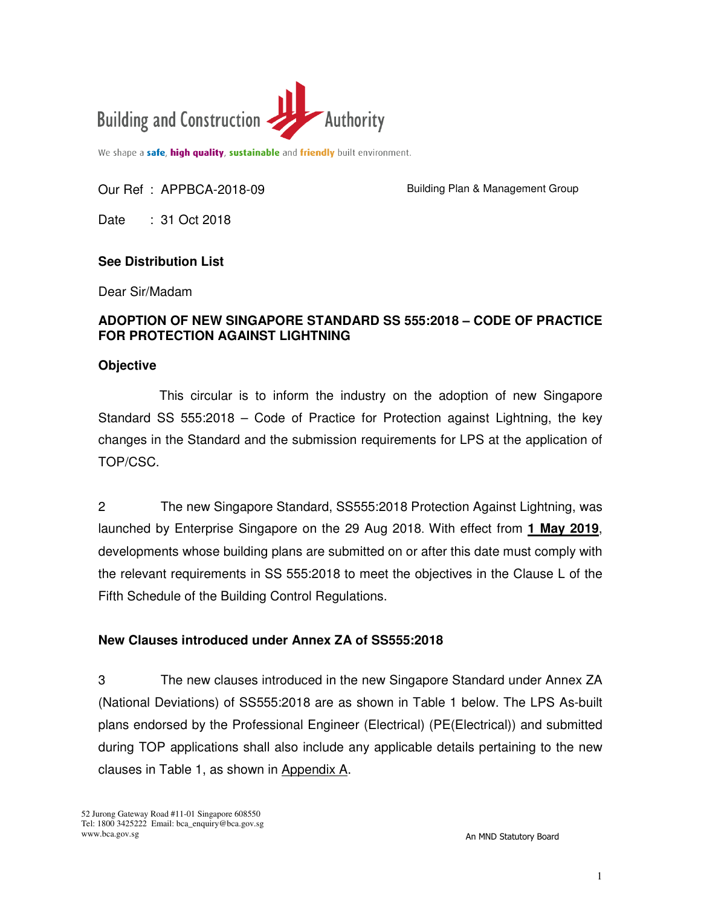

We shape a safe, high quality, sustainable and friendly built environment.

## Our Ref : APPBCA-2018-09

Building Plan & Management Group

Date : 31 Oct 2018

# **See Distribution List**

Dear Sir/Madam

# **ADOPTION OF NEW SINGAPORE STANDARD SS 555:2018 – CODE OF PRACTICE FOR PROTECTION AGAINST LIGHTNING**

### **Objective**

This circular is to inform the industry on the adoption of new Singapore Standard SS 555:2018 – Code of Practice for Protection against Lightning, the key changes in the Standard and the submission requirements for LPS at the application of TOP/CSC.

2 The new Singapore Standard, SS555:2018 Protection Against Lightning, was launched by Enterprise Singapore on the 29 Aug 2018. With effect from **1 May 2019**, developments whose building plans are submitted on or after this date must comply with the relevant requirements in SS 555:2018 to meet the objectives in the Clause L of the Fifth Schedule of the Building Control Regulations.

## **New Clauses introduced under Annex ZA of SS555:2018**

3 The new clauses introduced in the new Singapore Standard under Annex ZA (National Deviations) of SS555:2018 are as shown in Table 1 below. The LPS As-built plans endorsed by the Professional Engineer (Electrical) (PE(Electrical)) and submitted during TOP applications shall also include any applicable details pertaining to the new clauses in Table 1, as shown in Appendix A.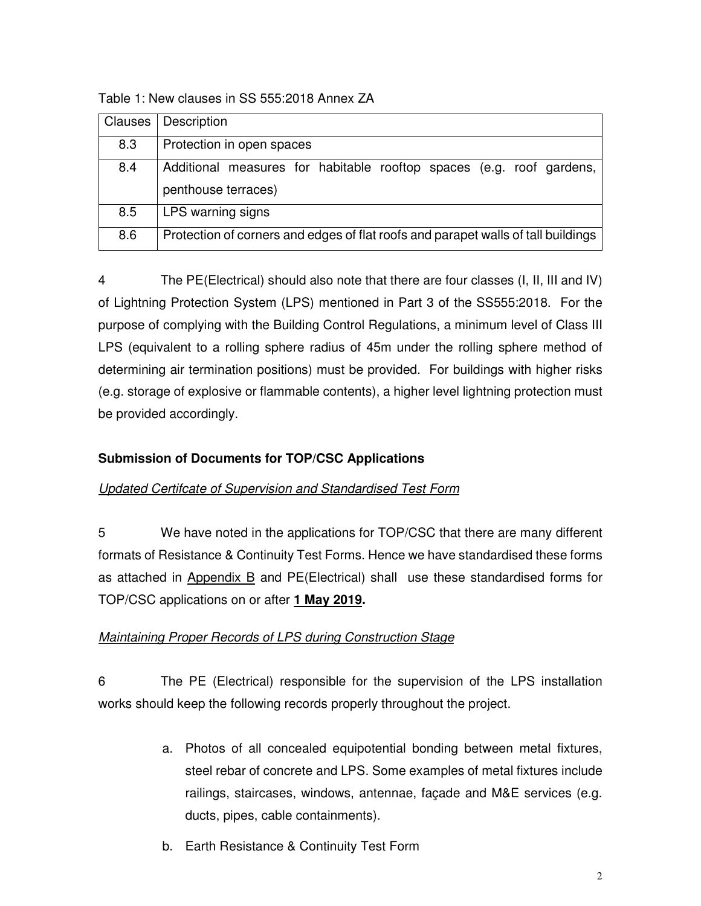Table 1: New clauses in SS 555:2018 Annex ZA

| Clauses | Description                                                                                 |
|---------|---------------------------------------------------------------------------------------------|
| 8.3     | Protection in open spaces                                                                   |
| 8.4     | Additional measures for habitable rooftop spaces (e.g. roof gardens,<br>penthouse terraces) |
| 8.5     | LPS warning signs                                                                           |
| 8.6     | Protection of corners and edges of flat roofs and parapet walls of tall buildings           |

4 The PE(Electrical) should also note that there are four classes (I, II, III and IV) of Lightning Protection System (LPS) mentioned in Part 3 of the SS555:2018. For the purpose of complying with the Building Control Regulations, a minimum level of Class III LPS (equivalent to a rolling sphere radius of 45m under the rolling sphere method of determining air termination positions) must be provided. For buildings with higher risks (e.g. storage of explosive or flammable contents), a higher level lightning protection must be provided accordingly.

# **Submission of Documents for TOP/CSC Applications**

# Updated Certifcate of Supervision and Standardised Test Form

5 We have noted in the applications for TOP/CSC that there are many different formats of Resistance & Continuity Test Forms. Hence we have standardised these forms as attached in Appendix B and PE(Electrical) shall use these standardised forms for TOP/CSC applications on or after **1 May 2019.** 

# Maintaining Proper Records of LPS during Construction Stage

6 The PE (Electrical) responsible for the supervision of the LPS installation works should keep the following records properly throughout the project.

- a. Photos of all concealed equipotential bonding between metal fixtures, steel rebar of concrete and LPS. Some examples of metal fixtures include railings, staircases, windows, antennae, façade and M&E services (e.g. ducts, pipes, cable containments).
- b. Earth Resistance & Continuity Test Form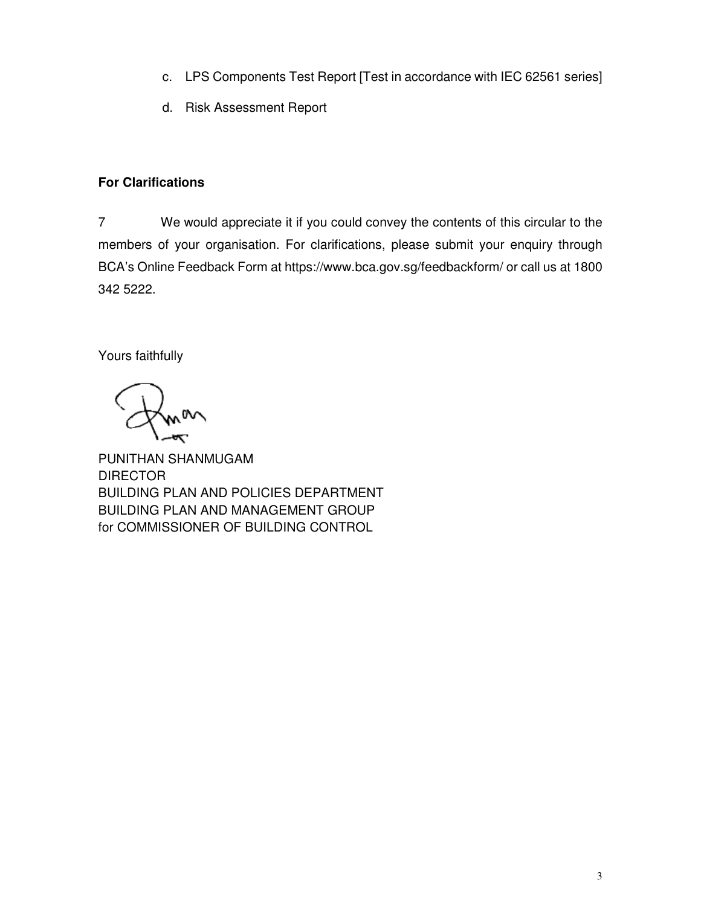- c. LPS Components Test Report [Test in accordance with IEC 62561 series]
- d. Risk Assessment Report

# **For Clarifications**

7 We would appreciate it if you could convey the contents of this circular to the members of your organisation. For clarifications, please submit your enquiry through BCA's Online Feedback Form at https://www.bca.gov.sg/feedbackform/ or call us at 1800 342 5222.

Yours faithfully

PUNITHAN SHANMUGAM **DIRECTOR** BUILDING PLAN AND POLICIES DEPARTMENT BUILDING PLAN AND MANAGEMENT GROUP for COMMISSIONER OF BUILDING CONTROL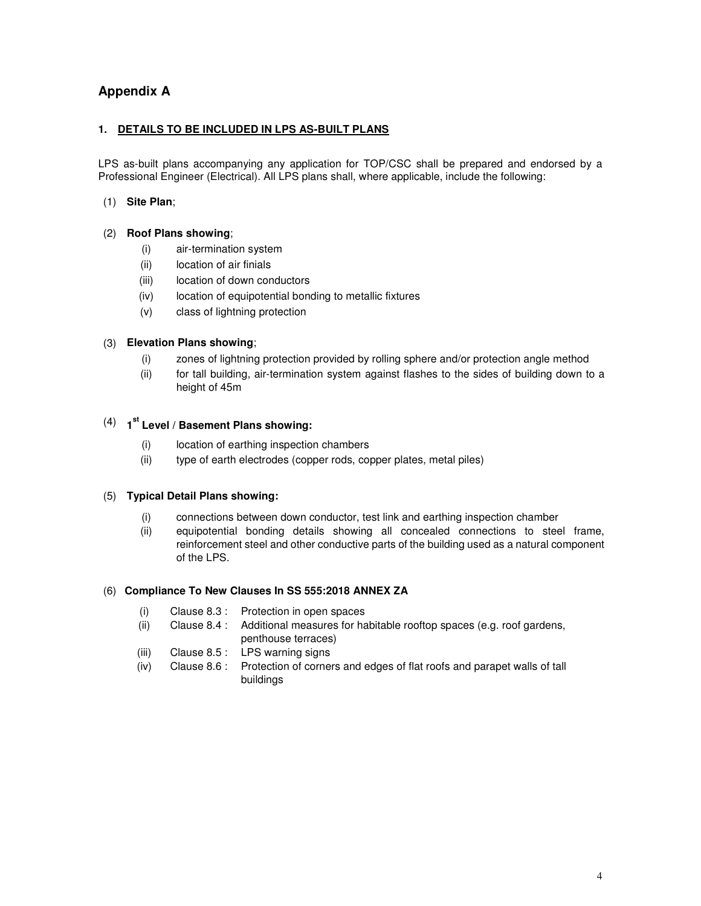## **Appendix A**

#### **1. DETAILS TO BE INCLUDED IN LPS AS-BUILT PLANS**

LPS as-built plans accompanying any application for TOP/CSC shall be prepared and endorsed by a Professional Engineer (Electrical). All LPS plans shall, where applicable, include the following:

#### (1) **Site Plan**;

#### (2) **Roof Plans showing**;

- (i) air-termination system
- (ii) location of air finials
- (iii) location of down conductors
- (iv) location of equipotential bonding to metallic fixtures
- (v) class of lightning protection

#### (3) **Elevation Plans showing**;

- (i) zones of lightning protection provided by rolling sphere and/or protection angle method
- (ii) for tall building, air-termination system against flashes to the sides of building down to a height of 45m

# (4) **1 st Level / Basement Plans showing:**

- (i) location of earthing inspection chambers
- (ii) type of earth electrodes (copper rods, copper plates, metal piles)

#### (5) **Typical Detail Plans showing:**

- (i) connections between down conductor, test link and earthing inspection chamber
- (ii) equipotential bonding details showing all concealed connections to steel frame, reinforcement steel and other conductive parts of the building used as a natural component of the LPS.

#### (6) **Compliance To New Clauses In SS 555:2018 ANNEX ZA**

- (i) Clause 8.3 : Protection in open spaces
- (ii) Clause 8.4 : Additional measures for habitable rooftop spaces (e.g. roof gardens, penthouse terraces)
- (iii) Clause 8.5 : LPS warning signs
- (iv) Clause 8.6 : Protection of corners and edges of flat roofs and parapet walls of tall buildings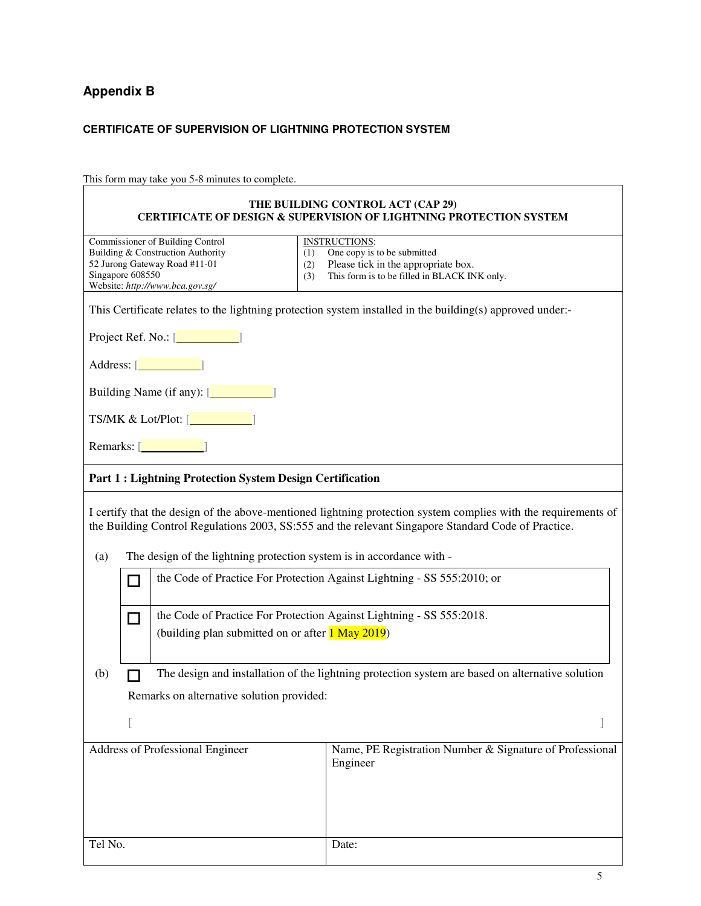# **Appendix B**

### **CERTIFICATE OF SUPERVISION OF LIGHTNING PROTECTION SYSTEM**

This form may take you 5-8 minutes to complete.

|                                                                                                                                                                                                                                             | THE BUILDING CONTROL ACT (CAP 29)<br><b>CERTIFICATE OF DESIGN &amp; SUPERVISION OF LIGHTNING PROTECTION SYSTEM</b>                                                                                                    |
|---------------------------------------------------------------------------------------------------------------------------------------------------------------------------------------------------------------------------------------------|-----------------------------------------------------------------------------------------------------------------------------------------------------------------------------------------------------------------------|
| Commissioner of Building Control<br>Building & Construction Authority<br>(1)<br>52 Jurong Gateway Road #11-01<br>(2)<br>Singapore 608550<br>(3)<br>Website: http://www.bca.gov.sg/                                                          | <b>INSTRUCTIONS:</b><br>One copy is to be submitted<br>Please tick in the appropriate box.<br>This form is to be filled in BLACK INK only.                                                                            |
|                                                                                                                                                                                                                                             | This Certificate relates to the lightning protection system installed in the building(s) approved under:-                                                                                                             |
| Project Ref. No.: [ <b><i>_________</i></b> ]                                                                                                                                                                                               |                                                                                                                                                                                                                       |
| Address: [                                                                                                                                                                                                                                  |                                                                                                                                                                                                                       |
| Building Name (if any): [ <b><i>CONDER SOLUTE: [CONDER SOLUTE: SCIENCE SOLUTE: SCIENCE SOLUTE: SCIENCE SOLUTE: SCIENCE SOLUTE: SCIENCE SOLUTE: SCIENCE SOLUTE: SCIENCE SOLUTE: SCIENCE SOLUTE: SCIENCE SOLUTE: SCIENCE SOLUTE: SCIE</i></b> |                                                                                                                                                                                                                       |
| TS/MK & Lot/Plot: [ <b>willing</b>                                                                                                                                                                                                          |                                                                                                                                                                                                                       |
| Remarks: $\begin{array}{ c c }\n\hline\n\end{array}$                                                                                                                                                                                        |                                                                                                                                                                                                                       |
| <b>Part 1: Lightning Protection System Design Certification</b>                                                                                                                                                                             |                                                                                                                                                                                                                       |
|                                                                                                                                                                                                                                             | I certify that the design of the above-mentioned lightning protection system complies with the requirements of<br>the Building Control Regulations 2003, SS:555 and the relevant Singapore Standard Code of Practice. |
| The design of the lightning protection system is in accordance with -<br>(a)                                                                                                                                                                |                                                                                                                                                                                                                       |
| П                                                                                                                                                                                                                                           | the Code of Practice For Protection Against Lightning - SS 555:2010; or                                                                                                                                               |
| the Code of Practice For Protection Against Lightning - SS 555:2018.<br>$\Box$<br>(building plan submitted on or after <b>1 May 2019</b> )                                                                                                  |                                                                                                                                                                                                                       |
| (b)                                                                                                                                                                                                                                         | The design and installation of the lightning protection system are based on alternative solution                                                                                                                      |
| Remarks on alternative solution provided:                                                                                                                                                                                                   |                                                                                                                                                                                                                       |
|                                                                                                                                                                                                                                             |                                                                                                                                                                                                                       |
| Address of Professional Engineer                                                                                                                                                                                                            | Name, PE Registration Number & Signature of Professional<br>Engineer                                                                                                                                                  |
| Tel No.                                                                                                                                                                                                                                     | Date:                                                                                                                                                                                                                 |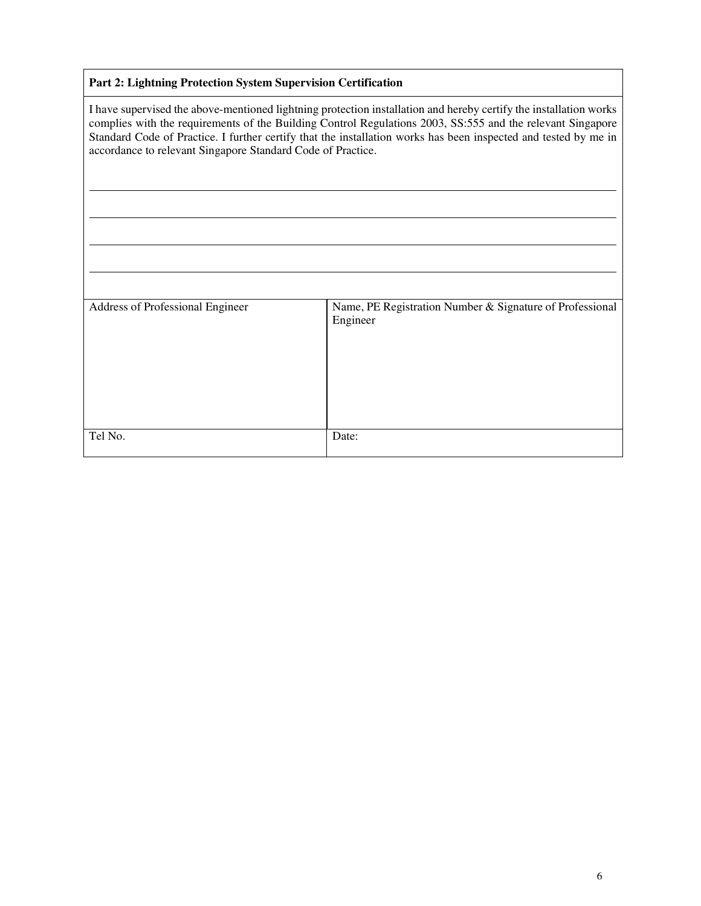#### **Part 2: Lightning Protection System Supervision Certification**

I have supervised the above-mentioned lightning protection installation and hereby certify the installation works complies with the requirements of the Building Control Regulations 2003, SS:555 and the relevant Singapore Standard Code of Practice. I further certify that the installation works has been inspected and tested by me in accordance to relevant Singapore Standard Code of Practice.

| Address of Professional Engineer | Name, PE Registration Number & Signature of Professional<br>Engineer |
|----------------------------------|----------------------------------------------------------------------|
| Tel No.                          | Date:                                                                |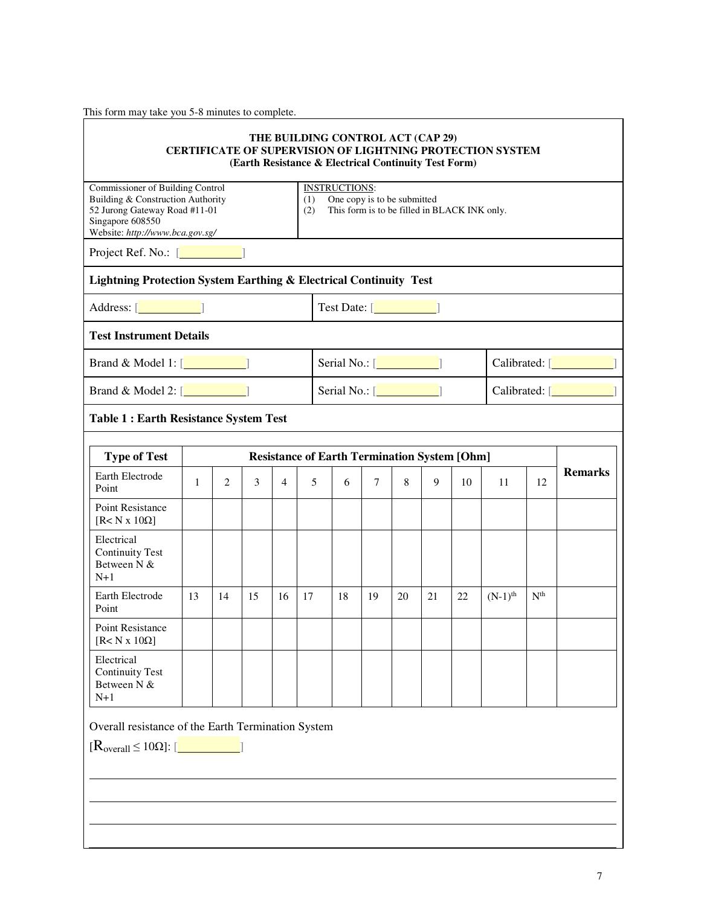This form may take you 5-8 minutes to complete.

|                                                                                                                                                               |                                                     |                                                                      |    |                |     | (Earth Resistance & Electrical Continuity Test Form)                                                                             |        |    |    |                             | <b>CERTIFICATE OF SUPERVISION OF LIGHTNING PROTECTION SYSTEM</b> |                 |                |  |
|---------------------------------------------------------------------------------------------------------------------------------------------------------------|-----------------------------------------------------|----------------------------------------------------------------------|----|----------------|-----|----------------------------------------------------------------------------------------------------------------------------------|--------|----|----|-----------------------------|------------------------------------------------------------------|-----------------|----------------|--|
| Commissioner of Building Control<br>Building & Construction Authority<br>52 Jurong Gateway Road #11-01<br>Singapore 608550<br>Website: http://www.bca.gov.sg/ |                                                     |                                                                      |    |                | (2) | <b>INSTRUCTIONS:</b><br>One copy is to be submitted<br>(1)<br>This form is to be filled in BLACK INK only.                       |        |    |    |                             |                                                                  |                 |                |  |
| Project Ref. No.: [www.communications]                                                                                                                        |                                                     |                                                                      |    |                |     |                                                                                                                                  |        |    |    |                             |                                                                  |                 |                |  |
| Address: [ <b>willing</b> ]                                                                                                                                   |                                                     |                                                                      |    |                |     | <b>Lightning Protection System Earthing &amp; Electrical Continuity Test</b><br>Test Date: [ <b><i><u>Illustration</u></i></b> ] |        |    |    |                             |                                                                  |                 |                |  |
| <b>Test Instrument Details</b>                                                                                                                                |                                                     |                                                                      |    |                |     |                                                                                                                                  |        |    |    |                             |                                                                  |                 |                |  |
| Brand & Model 1: $[\_$                                                                                                                                        |                                                     |                                                                      |    |                |     | Serial No.: [ <b>will</b>                                                                                                        |        |    |    | Calibrated: [ <b>will</b> ] |                                                                  |                 |                |  |
| Brand & Model 2: $[\_$                                                                                                                                        |                                                     | Serial No.: [ <b>with Serial</b> ]<br>Calibrated: [ <b>willing</b> ] |    |                |     |                                                                                                                                  |        |    |    |                             |                                                                  |                 |                |  |
| <b>Table 1: Earth Resistance System Test</b>                                                                                                                  |                                                     |                                                                      |    |                |     |                                                                                                                                  |        |    |    |                             |                                                                  |                 |                |  |
| <b>Type of Test</b>                                                                                                                                           | <b>Resistance of Earth Termination System [Ohm]</b> |                                                                      |    |                |     |                                                                                                                                  |        |    |    |                             |                                                                  |                 |                |  |
| Earth Electrode<br>Point                                                                                                                                      | $\mathbf{1}$                                        | 2                                                                    | 3  | $\overline{4}$ |     | 5<br>6                                                                                                                           | $\tau$ | 8  | 9  | 10                          | 11                                                               | 12              | <b>Remarks</b> |  |
| Point Resistance<br>[ $R < N x 10\Omega$ ]                                                                                                                    |                                                     |                                                                      |    |                |     |                                                                                                                                  |        |    |    |                             |                                                                  |                 |                |  |
| Electrical<br><b>Continuity Test</b><br>Between N &<br>$N+1$                                                                                                  |                                                     |                                                                      |    |                |     |                                                                                                                                  |        |    |    |                             |                                                                  |                 |                |  |
| Earth Electrode<br>Point                                                                                                                                      | 13                                                  | 14                                                                   | 15 | 16             | 17  | 18                                                                                                                               | 19     | 20 | 21 | 22                          | $(N-1)$ <sup>th</sup>                                            | N <sup>th</sup> |                |  |
| Point Resistance<br>$[$ R <n 10<math="" x="">\Omega]</n>                                                                                                      |                                                     |                                                                      |    |                |     |                                                                                                                                  |        |    |    |                             |                                                                  |                 |                |  |
| Electrical<br><b>Continuity Test</b><br>Between N $\&$<br>$N+1$                                                                                               |                                                     |                                                                      |    |                |     |                                                                                                                                  |        |    |    |                             |                                                                  |                 |                |  |
| Overall resistance of the Earth Termination System                                                                                                            |                                                     |                                                                      |    |                |     |                                                                                                                                  |        |    |    |                             |                                                                  |                 |                |  |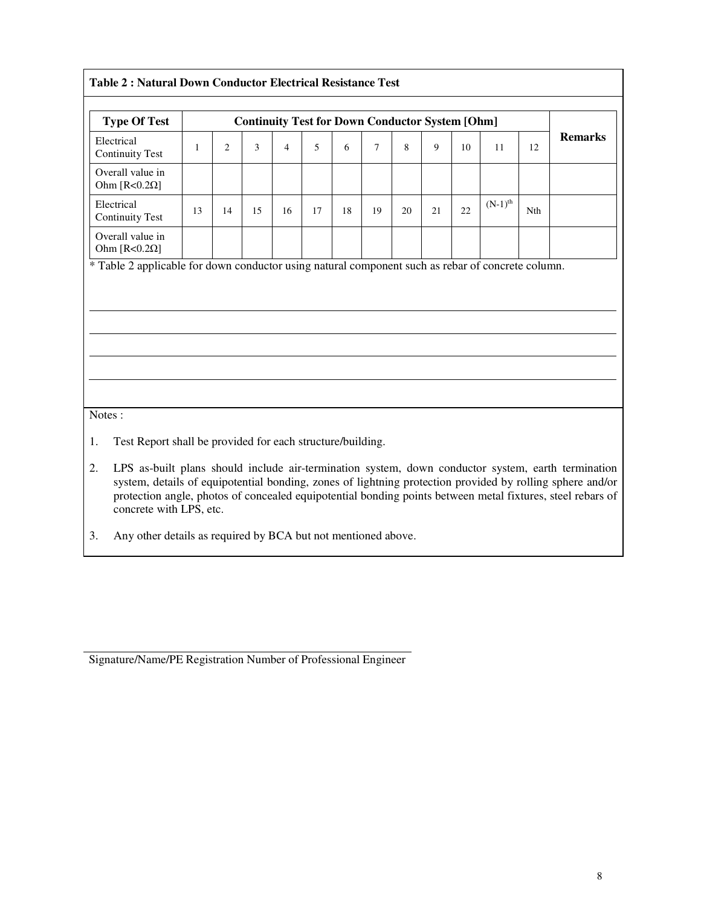| <b>Continuity Test for Down Conductor System [Ohm]</b><br><b>Type Of Test</b> |    |                |    |                |    |    |    |    |    |    |                       |     |                |
|-------------------------------------------------------------------------------|----|----------------|----|----------------|----|----|----|----|----|----|-----------------------|-----|----------------|
| Electrical<br><b>Continuity Test</b>                                          | 1  | $\overline{2}$ | 3  | $\overline{4}$ | 5  | 6  | 7  | 8  | 9  | 10 | 11                    | 12  | <b>Remarks</b> |
| Overall value in<br>Ohm [ $R < 0.2\Omega$ ]                                   |    |                |    |                |    |    |    |    |    |    |                       |     |                |
| Electrical<br><b>Continuity Test</b>                                          | 13 | 14             | 15 | 16             | 17 | 18 | 19 | 20 | 21 | 22 | $(N-1)$ <sup>th</sup> | Nth |                |
| Overall value in<br>Ohm [ $R < 0.2\Omega$ ]                                   |    |                |    |                |    |    |    |    |    |    |                       |     |                |
|                                                                               |    |                |    |                |    |    |    |    |    |    |                       |     |                |
|                                                                               |    |                |    |                |    |    |    |    |    |    |                       |     |                |
|                                                                               |    |                |    |                |    |    |    |    |    |    |                       |     |                |
| Notes:<br>1.<br>Test Report shall be provided for each structure/building.    |    |                |    |                |    |    |    |    |    |    |                       |     |                |

3. Any other details as required by BCA but not mentioned above.

Signature/Name/PE Registration Number of Professional Engineer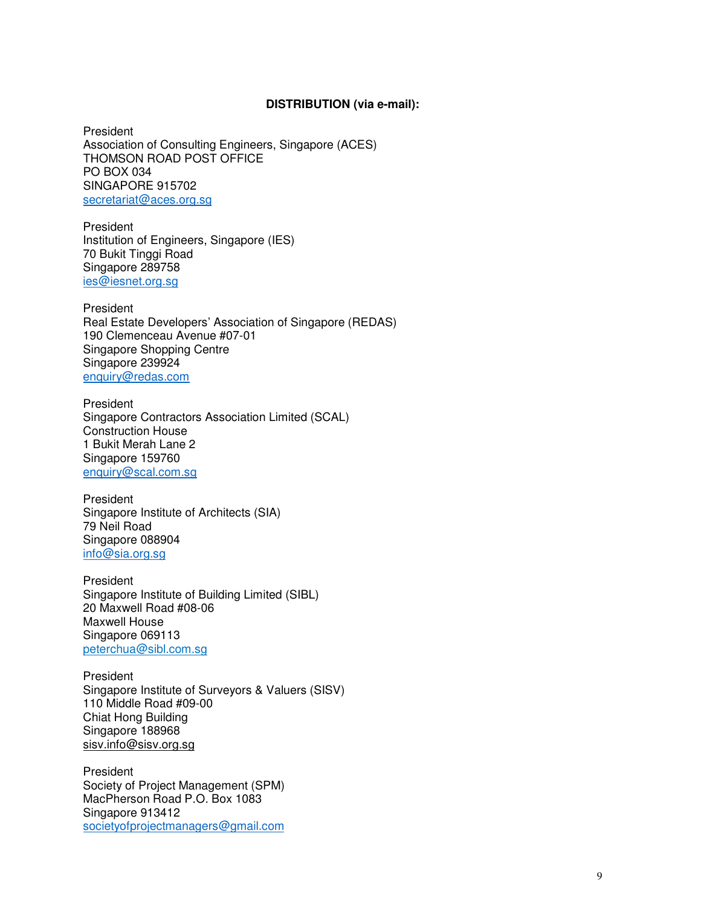#### **DISTRIBUTION (via e-mail):**

President Association of Consulting Engineers, Singapore (ACES) THOMSON ROAD POST OFFICE PO BOX 034 SINGAPORE 915702 secretariat@aces.org.sg

President Institution of Engineers, Singapore (IES) 70 Bukit Tinggi Road Singapore 289758 ies@iesnet.org.sg

President Real Estate Developers' Association of Singapore (REDAS) 190 Clemenceau Avenue #07-01 Singapore Shopping Centre Singapore 239924 enquiry@redas.com

President Singapore Contractors Association Limited (SCAL) Construction House 1 Bukit Merah Lane 2 Singapore 159760 enquiry@scal.com.sg

President Singapore Institute of Architects (SIA) 79 Neil Road Singapore 088904 info@sia.org.sg

President Singapore Institute of Building Limited (SIBL) 20 Maxwell Road #08-06 Maxwell House Singapore 069113 peterchua@sibl.com.sg

President Singapore Institute of Surveyors & Valuers (SISV) 110 Middle Road #09-00 Chiat Hong Building Singapore 188968 sisv.info@sisv.org.sg

President Society of Project Management (SPM) MacPherson Road P.O. Box 1083 Singapore 913412 societyofprojectmanagers@gmail.com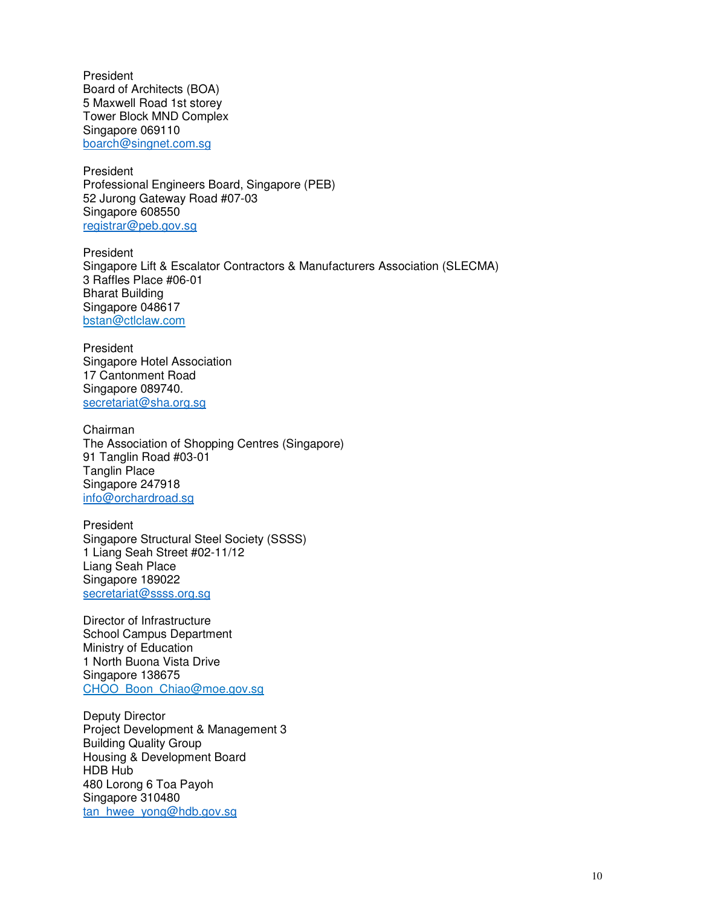President Board of Architects (BOA) 5 Maxwell Road 1st storey Tower Block MND Complex Singapore 069110 boarch@singnet.com.sg

President Professional Engineers Board, Singapore (PEB) 52 Jurong Gateway Road #07-03 Singapore 608550 registrar@peb.gov.sg

President Singapore Lift & Escalator Contractors & Manufacturers Association (SLECMA) 3 Raffles Place #06-01 Bharat Building Singapore 048617 bstan@ctlclaw.com

President Singapore Hotel Association 17 Cantonment Road Singapore 089740. secretariat@sha.org.sg

Chairman The Association of Shopping Centres (Singapore) 91 Tanglin Road #03-01 Tanglin Place Singapore 247918 info@orchardroad.sg

President Singapore Structural Steel Society (SSSS) 1 Liang Seah Street #02-11/12 Liang Seah Place Singapore 189022 secretariat@ssss.org.sg

Director of Infrastructure School Campus Department Ministry of Education 1 North Buona Vista Drive Singapore 138675 CHOO\_Boon\_Chiao@moe.gov.sg

Deputy Director Project Development & Management 3 Building Quality Group Housing & Development Board HDB Hub 480 Lorong 6 Toa Payoh Singapore 310480 tan\_hwee\_yong@hdb.gov.sg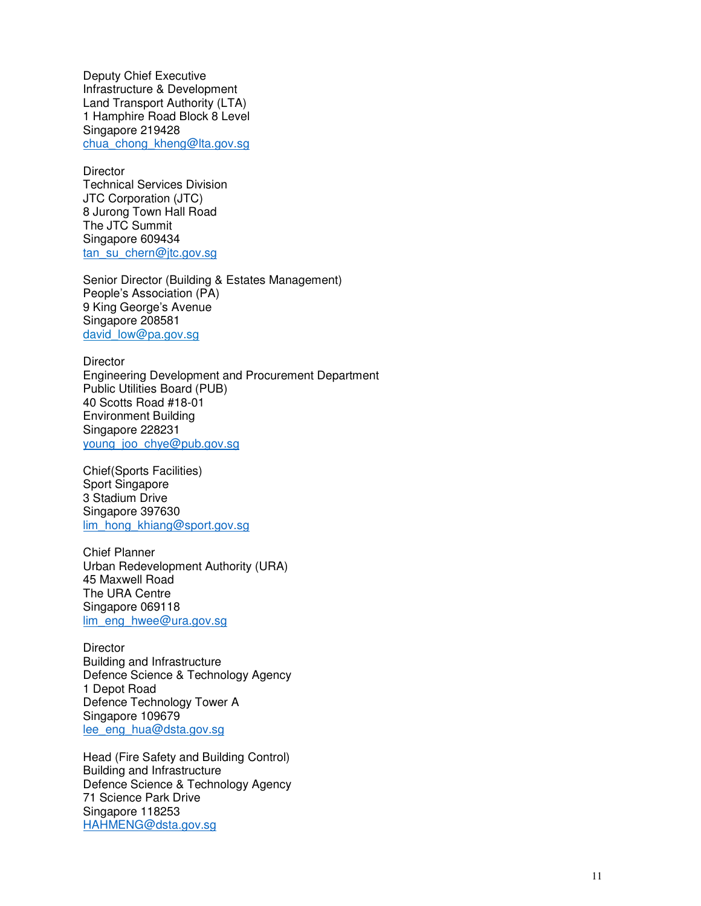Deputy Chief Executive Infrastructure & Development Land Transport Authority (LTA) 1 Hamphire Road Block 8 Level Singapore 219428 chua\_chong\_kheng@lta.gov.sg

**Director** Technical Services Division JTC Corporation (JTC) 8 Jurong Town Hall Road The JTC Summit Singapore 609434 tan\_su\_chern@jtc.gov.sg

Senior Director (Building & Estates Management) People's Association (PA) 9 King George's Avenue Singapore 208581 david\_low@pa.gov.sg

**Director** Engineering Development and Procurement Department Public Utilities Board (PUB) 40 Scotts Road #18-01 Environment Building Singapore 228231 young\_joo\_chye@pub.gov.sg

Chief(Sports Facilities) Sport Singapore 3 Stadium Drive Singapore 397630 lim\_hong\_khiang@sport.gov.sg

Chief Planner Urban Redevelopment Authority (URA) 45 Maxwell Road The URA Centre Singapore 069118 lim\_eng\_hwee@ura.gov.sg

**Director** Building and Infrastructure Defence Science & Technology Agency 1 Depot Road Defence Technology Tower A Singapore 109679 lee\_eng\_hua@dsta.gov.sg

Head (Fire Safety and Building Control) Building and Infrastructure Defence Science & Technology Agency 71 Science Park Drive Singapore 118253 HAHMENG@dsta.gov.sg